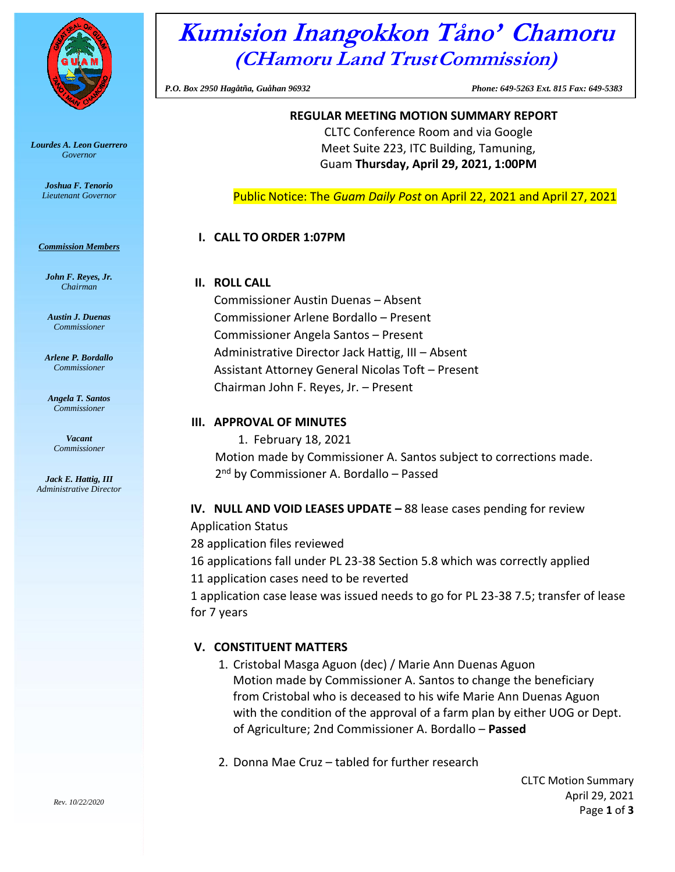

*Lourdes A. Leon Guerrero Governor*

> *Joshua F. Tenorio Lieutenant Governor*

#### *Commission Members*

*John F. Reyes, Jr. Chairman*

*Austin J. Duenas Commissioner*

*Arlene P. Bordallo Commissioner*

*Angela T. Santos Commissioner*

*Vacant Commissioner*

*Jack E. Hattig, III Administrative Director*

# Kumision Inangokkon Tåno' Chamoru **(CHamoru Land TrustCommission)**

*P.O. Box 2950 Hagåtña, Guåhan 96932 Phone: 649-5263 Ext. 815 Fax: 649-5383*

## **REGULAR MEETING MOTION SUMMARY REPORT**

CLTC Conference Room and via Google Meet Suite 223, ITC Building, Tamuning, Guam **Thursday, April 29, 2021, 1:00PM**

Public Notice: The *Guam Daily Post* on April 22, 2021 and April 27, 2021

### **I. CALL TO ORDER 1:07PM**

#### **II. ROLL CALL**

Commissioner Austin Duenas – Absent Commissioner Arlene Bordallo – Present Commissioner Angela Santos – Present Administrative Director Jack Hattig, III – Absent Assistant Attorney General Nicolas Toft – Present Chairman John F. Reyes, Jr. – Present

### **III. APPROVAL OF MINUTES**

1. February 18, 2021 Motion made by Commissioner A. Santos subject to corrections made. 2<sup>nd</sup> by Commissioner A. Bordallo – Passed

#### **IV. NULL AND VOID LEASES UPDATE –** 88 lease cases pending for review

Application Status

28 application files reviewed

16 applications fall under PL 23-38 Section 5.8 which was correctly applied

11 application cases need to be reverted

1 application case lease was issued needs to go for PL 23-38 7.5; transfer of lease for 7 years

## **V. CONSTITUENT MATTERS**

- 1. Cristobal Masga Aguon (dec) / Marie Ann Duenas Aguon Motion made by Commissioner A. Santos to change the beneficiary from Cristobal who is deceased to his wife Marie Ann Duenas Aguon with the condition of the approval of a farm plan by either UOG or Dept. of Agriculture; 2nd Commissioner A. Bordallo – **Passed**
- 2. Donna Mae Cruz tabled for further research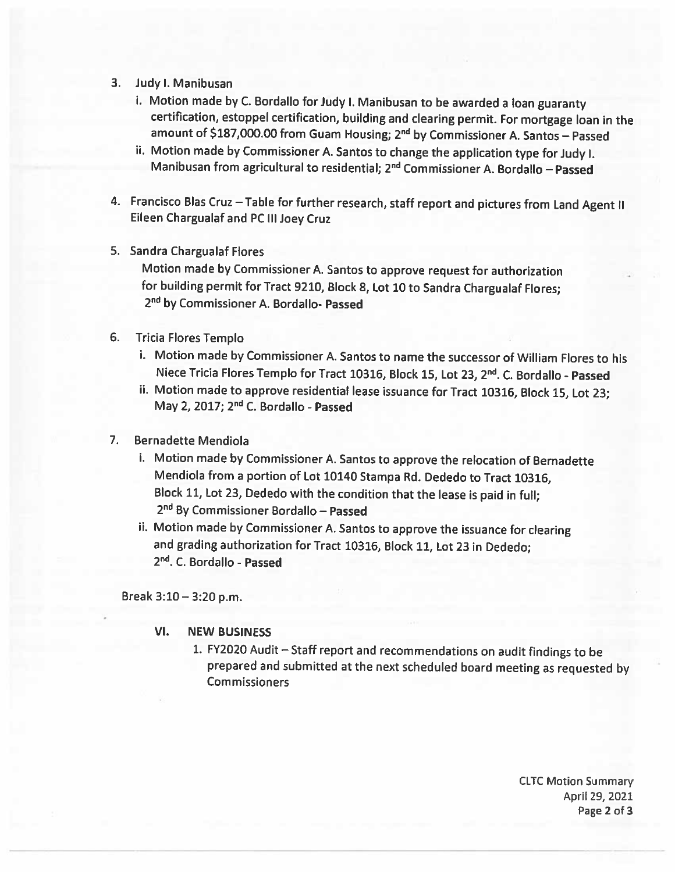- 3. Judy I. Manibusan
	- i. Motion made by C. Bordallo for Judy I. Manibusan to be awarded a loan guaranty certification, estoppel certification, building and clearing permit. For mortgage loan in the amount of \$187,000.00 from Guam Housing; 2<sup>nd</sup> by Commissioner A. Santos - Passed
	- ii. Motion made by Commissioner A. Santos to change the application type for Judy I. Manibusan from agricultural to residential; 2<sup>nd</sup> Commissioner A. Bordallo - Passed
- 4. Francisco Blas Cruz Table for further research, staff report and pictures from Land Agent II Eileen Chargualaf and PC III Joey Cruz
- 5. Sandra Chargualaf Flores

Motion made by Commissioner A. Santos to approve request for authorization for building permit for Tract 9210, Block 8, Lot 10 to Sandra Chargualaf Flores; 2<sup>nd</sup> by Commissioner A. Bordallo- Passed

- 6. Tricia Flores Templo
	- i. Motion made by Commissioner A. Santos to name the successor of William Flores to his Niece Tricia Flores Templo for Tract 10316, Block 15, Lot 23, 2nd. C. Bordallo - Passed
	- ii. Motion made to approve residential lease issuance for Tract 10316, Block 15, Lot 23; May 2, 2017; 2<sup>nd</sup> C. Bordallo - Passed

#### $7<sub>1</sub>$ **Bernadette Mendiola**

- i. Motion made by Commissioner A. Santos to approve the relocation of Bernadette Mendiola from a portion of Lot 10140 Stampa Rd. Dededo to Tract 10316, Block 11, Lot 23, Dededo with the condition that the lease is paid in full; 2<sup>nd</sup> By Commissioner Bordallo - Passed
- ii. Motion made by Commissioner A. Santos to approve the issuance for clearing and grading authorization for Tract 10316, Block 11, Lot 23 in Dededo; 2<sup>nd</sup>, C. Bordallo - Passed

Break  $3:10 - 3:20$  p.m.

#### VI. **NEW BUSINESS**

1. FY2020 Audit - Staff report and recommendations on audit findings to be prepared and submitted at the next scheduled board meeting as requested by **Commissioners** 

> **CLTC Motion Summary** April 29, 2021 Page 2 of 3